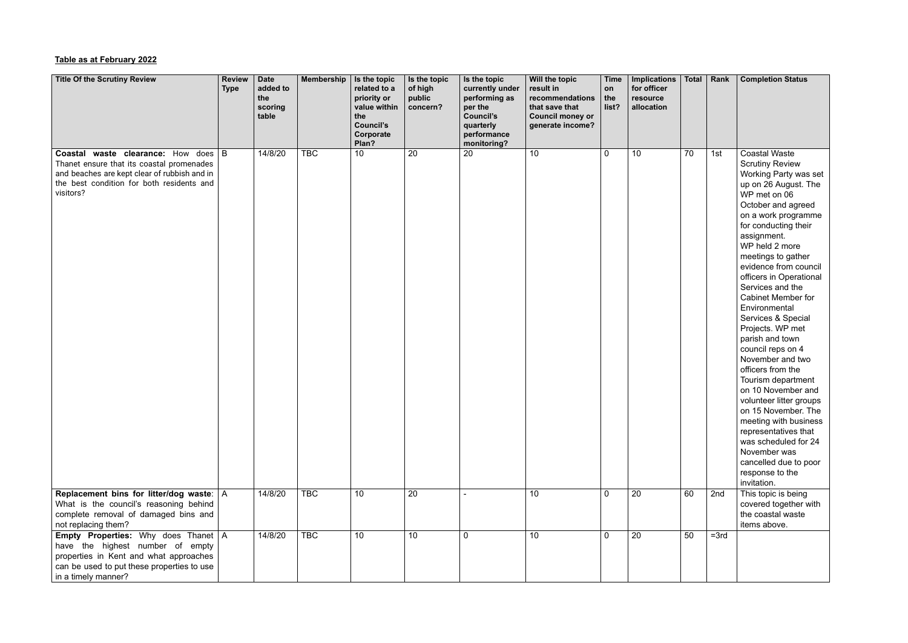## **Table as at February 2022**

| <b>Title Of the Scrutiny Review</b>                                                                                                                                                                 | <b>Review</b><br><b>Type</b> | <b>Date</b><br>added to<br>the<br>scoring<br>table | Membership | Is the topic<br>related to a<br>priority or<br>value within<br>the<br><b>Council's</b><br>Corporate<br>Plan? | Is the topic<br>of high<br>public<br>concern? | Is the topic<br>currently under<br>performing as<br>per the<br><b>Council's</b><br>quarterly<br>performance<br>monitoring? | Will the topic<br>result in<br>recommendations<br>that save that<br><b>Council money or</b><br>generate income? | <b>Time</b><br>on<br>the<br>list? | <b>Implications</b><br>for officer<br>resource<br>allocation | Total | Rank   | <b>Completion Status</b>                                                                                                                                                                                                                                                                                                                                                                                                                                                                                                                                                                                                                                                                                                                       |
|-----------------------------------------------------------------------------------------------------------------------------------------------------------------------------------------------------|------------------------------|----------------------------------------------------|------------|--------------------------------------------------------------------------------------------------------------|-----------------------------------------------|----------------------------------------------------------------------------------------------------------------------------|-----------------------------------------------------------------------------------------------------------------|-----------------------------------|--------------------------------------------------------------|-------|--------|------------------------------------------------------------------------------------------------------------------------------------------------------------------------------------------------------------------------------------------------------------------------------------------------------------------------------------------------------------------------------------------------------------------------------------------------------------------------------------------------------------------------------------------------------------------------------------------------------------------------------------------------------------------------------------------------------------------------------------------------|
| <b>Coastal waste clearance:</b> How does   B<br>Thanet ensure that its coastal promenades<br>and beaches are kept clear of rubbish and in<br>the best condition for both residents and<br>visitors? |                              | 14/8/20                                            | <b>TBC</b> | 10                                                                                                           | 20                                            | 20                                                                                                                         | 10                                                                                                              | $\mathbf 0$                       | 10                                                           | 70    | 1st    | <b>Coastal Waste</b><br><b>Scrutiny Review</b><br>Working Party was set<br>up on 26 August. The<br>WP met on 06<br>October and agreed<br>on a work programme<br>for conducting their<br>assignment.<br>WP held 2 more<br>meetings to gather<br>evidence from council<br>officers in Operational<br>Services and the<br><b>Cabinet Member for</b><br>Environmental<br>Services & Special<br>Projects. WP met<br>parish and town<br>council reps on 4<br>November and two<br>officers from the<br>Tourism department<br>on 10 November and<br>volunteer litter groups<br>on 15 November. The<br>meeting with business<br>representatives that<br>was scheduled for 24<br>November was<br>cancelled due to poor<br>response to the<br>invitation. |
| Replacement bins for litter/dog waste: $ A $<br>What is the council's reasoning behind<br>complete removal of damaged bins and<br>not replacing them?                                               |                              | 14/8/20                                            | <b>TBC</b> | 10                                                                                                           | 20                                            |                                                                                                                            | 10 <sup>°</sup>                                                                                                 | $\mathbf 0$                       | 20                                                           | 60    | 2nd    | This topic is being<br>covered together with<br>the coastal waste<br>items above.                                                                                                                                                                                                                                                                                                                                                                                                                                                                                                                                                                                                                                                              |
| <b>Empty Properties:</b> Why does Thanet   A<br>have the highest number of empty<br>properties in Kent and what approaches<br>can be used to put these properties to use<br>in a timely manner?     |                              | 14/8/20                                            | <b>TBC</b> | 10                                                                                                           | 10                                            | $\overline{0}$                                                                                                             | 10                                                                                                              | $\mathbf 0$                       | 20                                                           | 50    | $=3rd$ |                                                                                                                                                                                                                                                                                                                                                                                                                                                                                                                                                                                                                                                                                                                                                |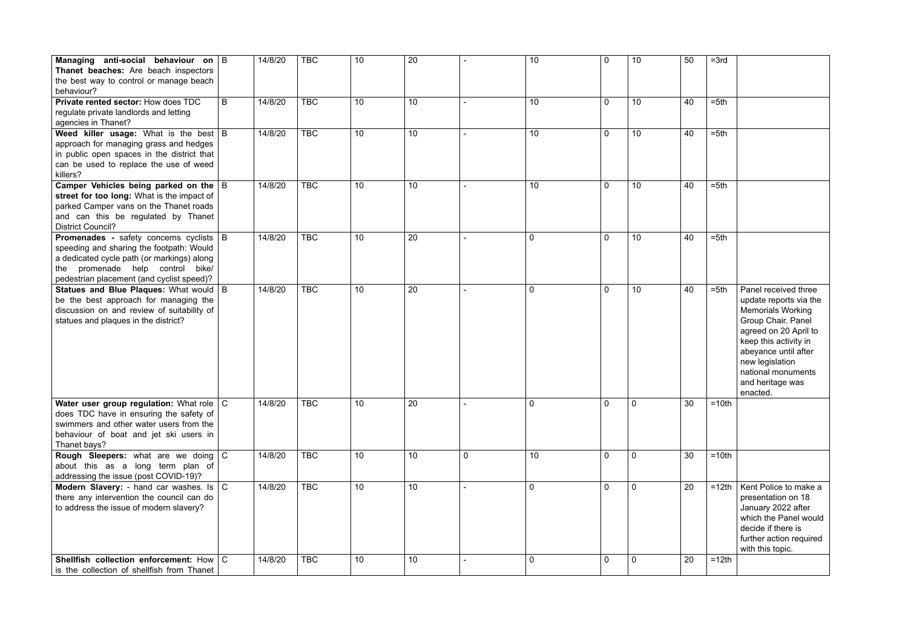| Managing anti-social behaviour on   B<br>Thanet beaches: Are beach inspectors<br>the best way to control or manage beach<br>behaviour?                                                                                      |   | 14/8/20 | <b>TBC</b> | 10 | 20              |                | 10             | $\mathbf 0$    | 10              | 50 | $=3rd$  |                                                                                                                                                                                                                                                     |
|-----------------------------------------------------------------------------------------------------------------------------------------------------------------------------------------------------------------------------|---|---------|------------|----|-----------------|----------------|----------------|----------------|-----------------|----|---------|-----------------------------------------------------------------------------------------------------------------------------------------------------------------------------------------------------------------------------------------------------|
| Private rented sector: How does TDC<br>regulate private landlords and letting<br>agencies in Thanet?                                                                                                                        | B | 14/8/20 | <b>TBC</b> | 10 | 10              |                | 10             | $\mathbf{0}$   | 10 <sup>1</sup> | 40 | $= 5th$ |                                                                                                                                                                                                                                                     |
| Weed killer usage: What is the best B<br>approach for managing grass and hedges<br>in public open spaces in the district that<br>can be used to replace the use of weed<br>killers?                                         |   | 14/8/20 | <b>TBC</b> | 10 | 10 <sup>°</sup> |                | 10             | $\overline{0}$ | 10 <sup>1</sup> | 40 | $= 5th$ |                                                                                                                                                                                                                                                     |
| Camper Vehicles being parked on the $ B $<br>street for too long: What is the impact of<br>parked Camper vans on the Thanet roads<br>and can this be regulated by Thanet<br><b>District Council?</b>                        |   | 14/8/20 | <b>TBC</b> | 10 | 10              |                | 10             | $\overline{0}$ | 10              | 40 | $= 5th$ |                                                                                                                                                                                                                                                     |
| <b>Promenades</b> - safety concerns cyclists   B<br>speeding and sharing the footpath: Would<br>a dedicated cycle path (or markings) along<br>the promenade help control bike/<br>pedestrian placement (and cyclist speed)? |   | 14/8/20 | <b>TBC</b> | 10 | 20              |                | $\mathbf 0$    | $\mathbf 0$    | 10              | 40 | $= 5th$ |                                                                                                                                                                                                                                                     |
| Statues and Blue Plaques: What would   B<br>be the best approach for managing the<br>discussion on and review of suitability of<br>statues and plaques in the district?                                                     |   | 14/8/20 | <b>TBC</b> | 10 | 20              |                | $\mathbf 0$    | $\mathbf 0$    | 10 <sup>1</sup> | 40 | $= 5th$ | Panel received three<br>update reports via the<br><b>Memorials Working</b><br>Group Chair. Panel<br>agreed on 20 April to<br>keep this activity in<br>abeyance until after<br>new legislation<br>national monuments<br>and heritage was<br>enacted. |
| Water user group regulation: What role   C<br>does TDC have in ensuring the safety of<br>swimmers and other water users from the<br>behaviour of boat and jet ski users in<br>Thanet bays?                                  |   | 14/8/20 | <b>TBC</b> | 10 | 20              |                | $\overline{0}$ | $\mathbf{0}$   | 0               | 30 | $=10th$ |                                                                                                                                                                                                                                                     |
| <b>Rough Sleepers:</b> what are we doing $\mathbf{C}$<br>about this as a long term plan of<br>addressing the issue (post COVID-19)?                                                                                         |   | 14/8/20 | <b>TBC</b> | 10 | 10              | $\overline{0}$ | 10             | $\overline{0}$ | 0               | 30 | $=10th$ |                                                                                                                                                                                                                                                     |
| <b>Modern Slavery:</b> - hand car washes. Is $ C $<br>there any intervention the council can do<br>to address the issue of modern slavery?                                                                                  |   | 14/8/20 | <b>TBC</b> | 10 | 10 <sup>°</sup> |                | $\mathbf 0$    | $\overline{0}$ | 0               | 20 | $=12th$ | Kent Police to make a<br>presentation on 18<br>January 2022 after<br>which the Panel would<br>decide if there is<br>further action required<br>with this topic.                                                                                     |
| Shellfish collection enforcement: How $\mid$ C<br>is the collection of shellfish from Thanet                                                                                                                                |   | 14/8/20 | <b>TBC</b> | 10 | 10 <sup>°</sup> |                | $\mathbf 0$    | $\mathbf{0}$   | 0               | 20 | $=12th$ |                                                                                                                                                                                                                                                     |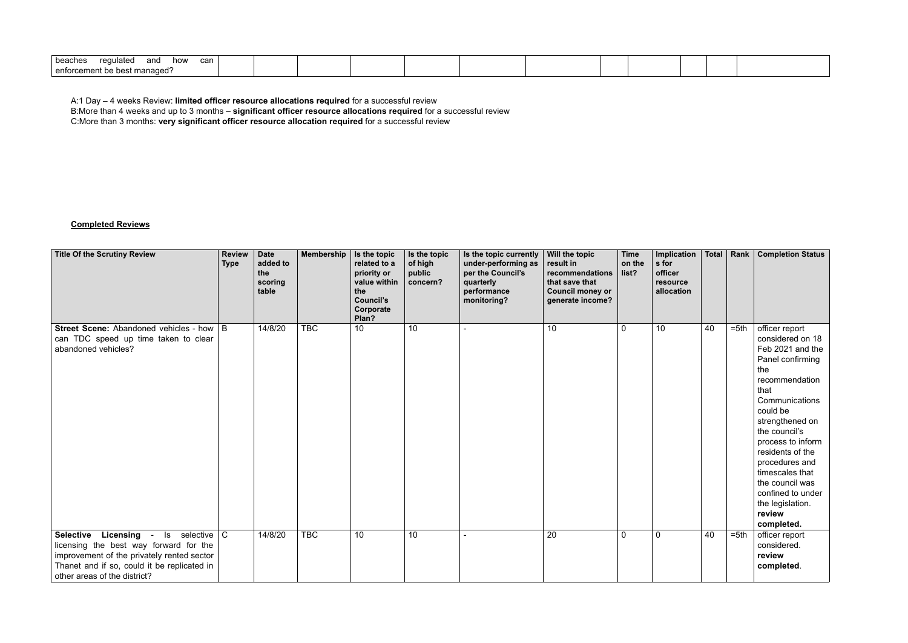| can<br>∣ beaches<br>$r0$ $r1$<br>how<br>and<br>regulatec |  |  |  |  |  |  |
|----------------------------------------------------------|--|--|--|--|--|--|
| e best manaded?<br>l enforcement be besu                 |  |  |  |  |  |  |

A:1 Day – 4 weeks Review: **limited officer resource allocations required** for a successful review

B:More than 4 weeks and up to 3 months – **significant officer resource allocations required** for a successful review

C:More than 3 months: **very significant officer resource allocation required** for a successful review

## **Completed Reviews**

| <b>Title Of the Scrutiny Review</b>                                                                                                                                                                                                       | <b>Review</b><br><b>Type</b> | <b>Date</b><br>added to<br>the<br>scoring<br>table | Membership | Is the topic<br>related to a<br>priority or<br>value within<br>the<br><b>Council's</b><br>Corporate<br>Plan? | Is the topic<br>of high<br>public<br>concern? | Is the topic currently<br>under-performing as<br>per the Council's<br>quarterly<br>performance<br>monitoring? | Will the topic<br>result in<br>recommendations<br>that save that<br><b>Council money or</b><br>generate income? | <b>Time</b><br>on the<br>list? | Implication<br>s for<br>officer<br>resource<br>allocation |    |         | Total   Rank   Completion Status                                                                                                                                                                                                                                                                                                                |
|-------------------------------------------------------------------------------------------------------------------------------------------------------------------------------------------------------------------------------------------|------------------------------|----------------------------------------------------|------------|--------------------------------------------------------------------------------------------------------------|-----------------------------------------------|---------------------------------------------------------------------------------------------------------------|-----------------------------------------------------------------------------------------------------------------|--------------------------------|-----------------------------------------------------------|----|---------|-------------------------------------------------------------------------------------------------------------------------------------------------------------------------------------------------------------------------------------------------------------------------------------------------------------------------------------------------|
| <b>Street Scene:</b> Abandoned vehicles - how $\mid$ B<br>can TDC speed up time taken to clear<br>abandoned vehicles?                                                                                                                     |                              | 14/8/20                                            | <b>TBC</b> | $\overline{10}$                                                                                              | 10                                            |                                                                                                               | 10                                                                                                              | $\overline{0}$                 | 10                                                        | 40 | $= 5th$ | officer report<br>considered on 18<br>Feb 2021 and the<br>Panel confirming<br>the<br>recommendation<br>that<br>Communications<br>could be<br>strengthened on<br>the council's<br>process to inform<br>residents of the<br>procedures and<br>timescales that<br>the council was<br>confined to under<br>the legislation.<br>review<br>completed. |
| - Is selective $\boxed{C}$<br><b>Selective</b><br><b>Licensing</b><br>licensing the best way forward for the<br>improvement of the privately rented sector<br>Thanet and if so, could it be replicated in<br>other areas of the district? |                              | 14/8/20                                            | <b>TBC</b> | 10                                                                                                           | 10                                            |                                                                                                               | 20                                                                                                              | $\mathbf 0$                    | $\mathbf 0$                                               | 40 | $= 5th$ | officer report<br>considered.<br>review<br>completed.                                                                                                                                                                                                                                                                                           |